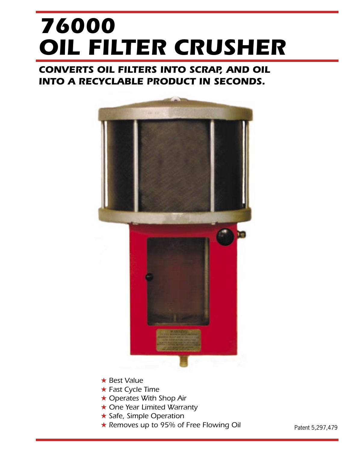# **OIL FILTER CRUSHER 76000**

# **CONVERTS OIL FILTERS INTO SCRAP, AND OIL INTO A RECYCLABLE PRODUCT IN SECONDS.**



- ★ Best Value
- ★ Fast Cycle Time
- ★ Operates With Shop Air
- **★ One Year Limited Warranty**
- ★ Safe, Simple Operation
- ★ Removes up to 95% of Free Flowing Oil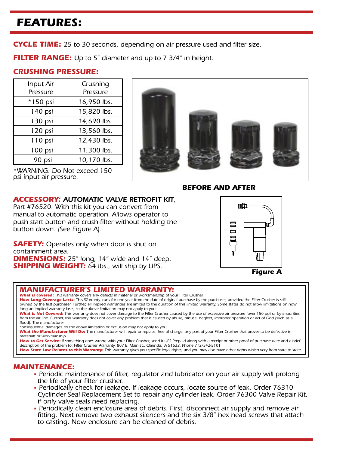# **FEATURES:**

**CYCLE TIME:** 25 to 30 seconds, depending on air pressure used and filter size.

**FILTER RANGE:** Up to 5" diameter and up to 7 3/4" in height.

## **CRUSHING PRESSURE:**

| Input Air  | Crushing    |  |  |
|------------|-------------|--|--|
| Pressure   | Pressure    |  |  |
| $*150$ psi | 16,950 lbs. |  |  |
| 140 psi    | 15,820 lbs. |  |  |
| 130 psi    | 14,690 lbs. |  |  |
| 120 psi    | 13,560 lbs. |  |  |
| 110 psi    | 12,430 lbs. |  |  |
| 100 psi    | 11,300 lbs. |  |  |
| 90 psi     | 10,170 lbs. |  |  |





**BEFORE AND AFTER**

### **ACCESSORY:** AUTOMATIC VALVE RETROFIT KIT,

Part #76520. With this kit you can convert from manual to automatic operation. Allows operator to push start button and crush filter without holding the button down. (See Figure A).

**SAFETY:** Operates only when door is shut on containment area. **DIMENSIONS:** 25" long, 14" wide and 14" deep. **SHIPPING WEIGHT:** 64 lbs., will ship by UPS.



**Figure A**

### **MANUFACTURER'S LIMITED WARRANTY:**

**What is covered:** This warranty covers any defects in material or worksmanship of your Filter Crusher.

How Long Coverage Lasts: This Warranty, runs for one year from the date of original purchase by the purchaser, provided the Filter Crusher is still owned by the first purchaser. Further, all implied warranties are limited to the duration of this limited warranty. Some states do not allow limitations on how long an implied warranty lasts, so the above limitation may not apply to you.

**What is Not Covered:** This warranty does not cover damage to the Filter Crusher caused by the use of excessive air pressure (over 150 psi) or by impurities from the air line. Further, this warranty does not cover any problem that is caused by abuse, misuse, neglect, improper operation or act of God (such as a flood). The manufacturer

consequential damages, so the above limitation or exclusion may not apply to you.

**What the Manufacturer Will Do:** The manufacturer will repair or replace, free of charge, any part of your Filter Crusher that proves to be defective in materials or workmanship.

How to Get Service: If something goes wrong with your Filter Crusher, send it UPS Prepaid along with a receipt or other proof of purchase date and a brief description of the problem to: Filter Crusher Warranty, 807 E. Main St., Clarinda, IA 51632, Phone 712/542-5101

How State Law Relates to this Warranty: This warranty gives you specific legal rights, and you may also have other rights which very from state to state.

- **MAINTENANCE:** Periodic maintenance of filter, regulator and lubricator on your air supply will prolong
	- the life of your filter crusher.<br>• Periodically check for leakage. If leakage occurs, locate source of leak. Order 76310 Cyclinder Seal Replacement Set to repair any cylinder leak. Order 76300 Valve Repair Kit, if only valve seals need replacing. • Periodically clean enclosure area of debris. First, disconnect air supply and remove air
	- fitting. Next remove two exhaust silencers and the six 3/8'' hex head screws that attach to casting. Now enclosure can be cleaned of debris.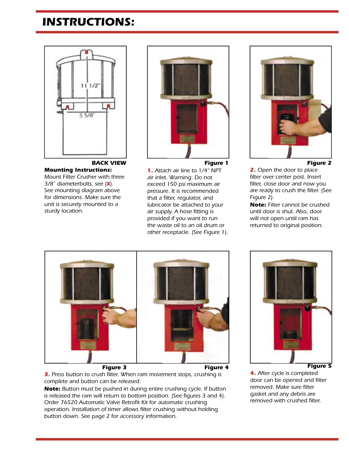# **INSTRUCTIONS:**



**BACK VIEW Mounting Instructions:** Mount Filter Crusher with three 3/8'' diameterbolts, see (**X**). See mounting diagram above for dimensions. Make sure the unit is securely mounted to a sturdy location.



**1.** Attach air line to 1/4'' NPT air inlet. Warning: Do not exceed 150 psi maximum air pressure. It is recommended that a filter, regulator, and

lubricator be attached to your air supply. A hose fitting is provided if you want to run the waste oil to an oil drum or other receptacle. (See Figure 1).



### **Figure 2**

**2.** Open the door to place filter over center post. Insert filter, close door and now you are ready to crush the filter. (See Figure 2).

**Note:** Filter cannot be crushed until door is shut. Also, door will not open until ram has returned to original position.



**3.** Press button to crush filter. When ram movement stops, crushing is complete and button can be released.

**Note:** Button must be pushed in during entire crushing cycle. If button is released the ram will return to bottom position. (See figures 3 and 4). Order 76520 Automatic Valve Retrofit Kit for automatic crushing operation. Installation of timer allows filter crushing without holding button down. See page 2 for accessory information.



### **4.** After cycle is completed door can be opened and filter removed. Make sure filter gasket and any debris are removed with crushed filter.